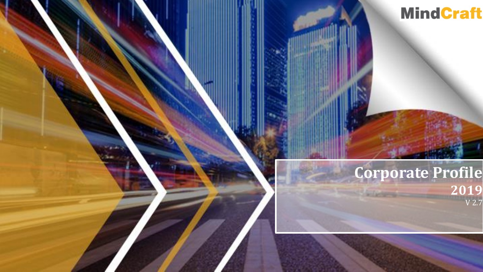

#### **Corporate Profile 2019** V 2.7

1 O Copyright 2019 Mind Craft and Craft and Craft and Craft and Craft and Craft and Craft and Craft and Craft and Craft and Craft and Craft and Craft and Craft and Craft and Craft and Craft and Craft and Craft and Craft an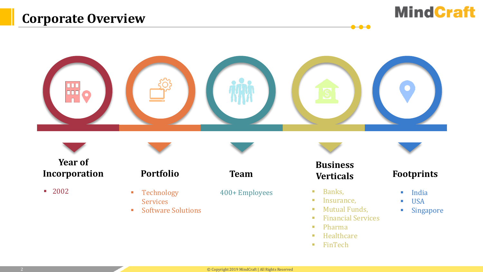



**Year of Incorporation**

▪ 2002

**Portfolio Team**

- Technology Services
- Software Solutions

400+ Employees Banks,

**■** Insurance,

**Business** 

 $\bullet\bullet\bullet$ 

- Mutual Funds,
- Financial Services
- Pharma
- **■** Healthcare
- FinTech

#### **Verticals Footprints**

- India
- USA
- Singapore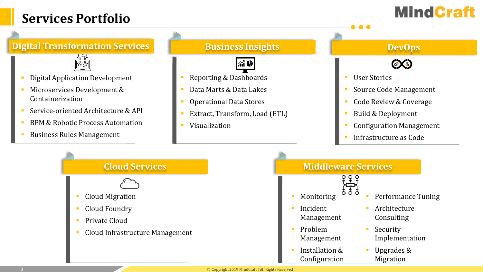### **Services Portfolio**

## **MindCraft**

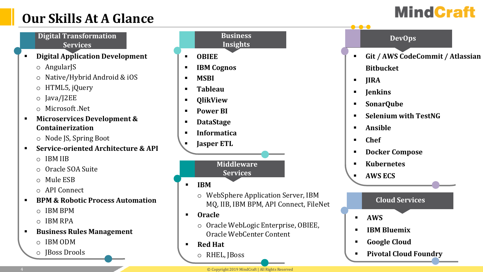### **Our Skills At A Glance**



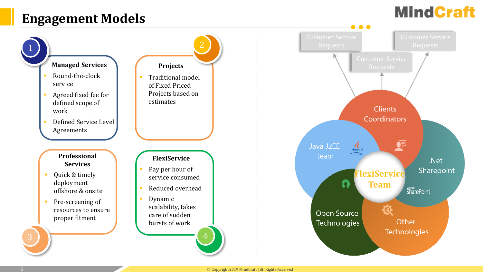### **Engagement Models**

# **MindCraft**

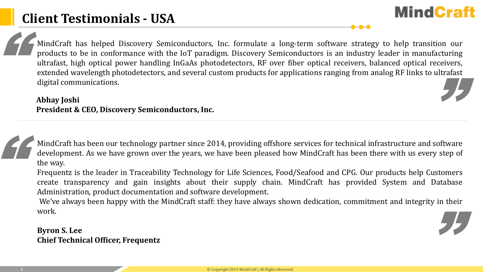MindCraft has helped Discovery Semiconductors, Inc. formulate a long-term software strategy to help transition our products to be in conformance with the IoT paradigm. Discovery Semiconductors is an industry leader in manufacturing ultrafast, high optical power handling InGaAs photodetectors, RF over fiber optical receivers, balanced optical receivers, extended wavelength photodetectors, and several custom products for applications ranging from analog RF links to ultrafast digital communications. EF M "

**MindCraft** 

#### **Abhay Joshi President & CEO, Discovery Semiconductors, Inc.**

MindCraft has been our technology partner since 2014, providing offshore services for technical infrastructure and software development. As we have grown over the years, we have been pleased how MindCraft has been there with us every step of the way. E

Frequentz is the leader in Traceability Technology for Life Sciences, Food/Seafood and CPG. Our products help Customers create transparency and gain insights about their supply chain. MindCraft has provided System and Database Administration, product documentation and software development.

We've always been happy with the MindCraft staff: they have always shown dedication, commitment and integrity in their work. "

**Byron S. Lee Chief Technical Officer, Frequentz**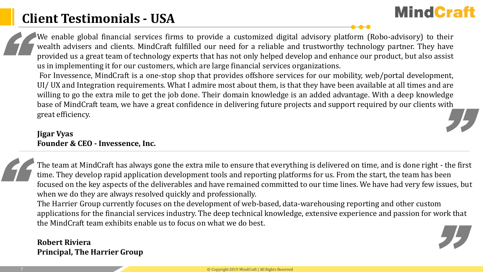### **Client Testimonials - USA**

**MindCraft** 

We enable global financial services firms to provide a customized digital advisory platform (Robo-advisory) to their wealth advisers and clients. MindCraft fulfilled our need for a reliable and trustworthy technology partner. They have provided us a great team of technology experts that has not only helped develop and enhance our product, but also assist us in implementing it for our customers, which are large financial services organizations. EF W WY

For Invessence, MindCraft is a one-stop shop that provides offshore services for our mobility, web/portal development, UI/ UX and Integration requirements. What I admire most about them, is that they have been available at all times and are willing to go the extra mile to get the job done. Their domain knowledge is an added advantage. With a deep knowledge base of MindCraft team, we have a great confidence in delivering future projects and support required by our clients with great efficiency. "

#### **Jigar Vyas Founder & CEO - Invessence, Inc.**

The team at MindCraft has always gone the extra mile to ensure that everything is delivered on time, and is done right - the first time. They develop rapid application development tools and reporting platforms for us. From the start, the team has been focused on the key aspects of the deliverables and have remained committed to our time lines. We have had very few issues, but when we do they are always resolved quickly and professionally. "

The Harrier Group currently focuses on the development of web-based, data-warehousing reporting and other custom applications for the financial services industry. The deep technical knowledge, extensive experience and passion for work that the MindCraft team exhibits enable us to focus on what we do best. "

#### **Robert Riviera Principal, The Harrier Group**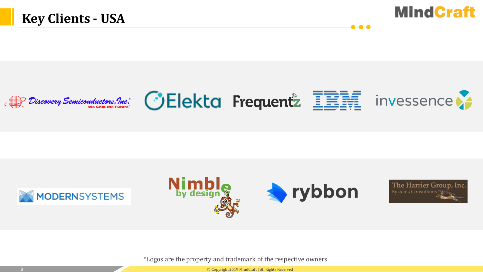



 $\bullet\hspace{-4pt}\bullet\hspace{-4pt}\bullet\hspace{-4pt}\bullet$ 









\*Logos are the property and trademark of the respective owners

8 © Copyright 2019 MindCraft | All Rights Reserved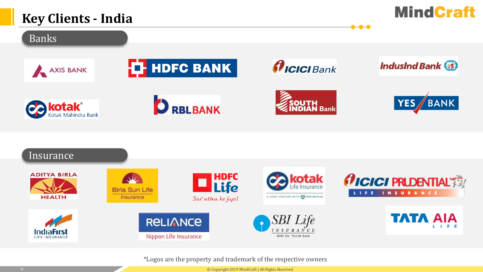### **Key Clients - India**





\*Logos are the property and trademark of the respective owners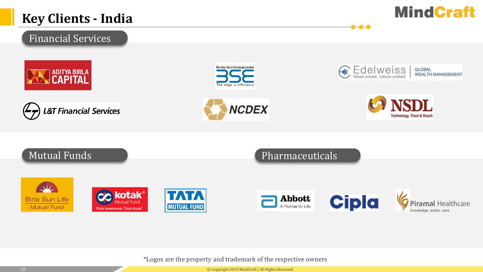#### **Key Clients - India**



knowledge action care

#### Financial Services





Think Investments. Think Kotak.







 $-0$   $-0$ 





A Promise for Life

\*Logos are the property and trademark of the respective owners

**MUTUAL FUND** 

10 © Copyright 2019 MindCraft | All Rights Reserved

**Mutual Fund**